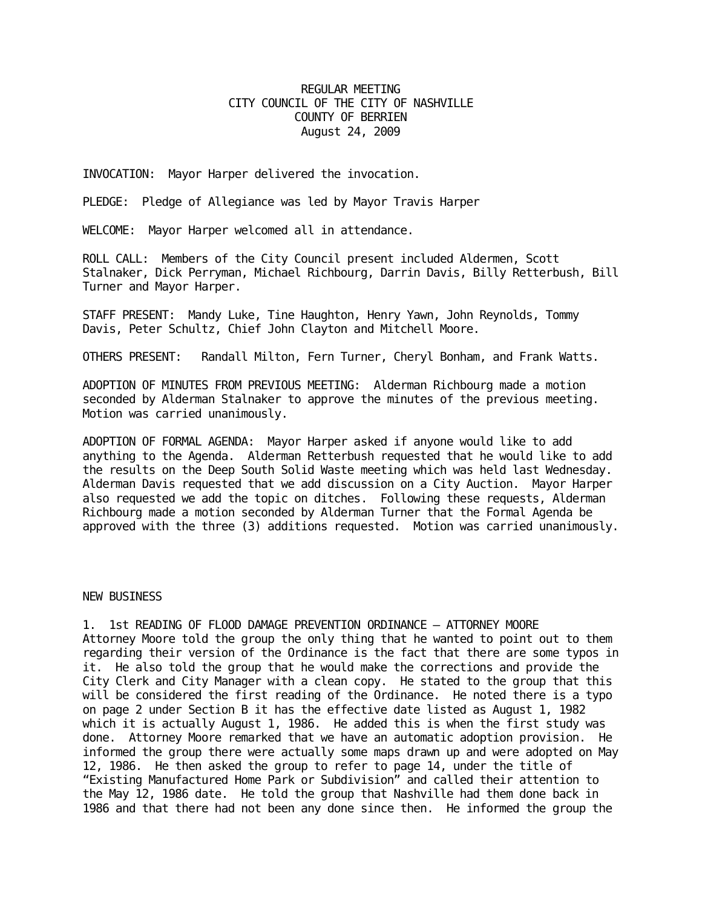## REGULAR MEETING CITY COUNCIL OF THE CITY OF NASHVILLE COUNTY OF BERRIEN August 24, 2009

INVOCATION: Mayor Harper delivered the invocation.

PLEDGE: Pledge of Allegiance was led by Mayor Travis Harper

WELCOME: Mayor Harper welcomed all in attendance.

ROLL CALL: Members of the City Council present included Aldermen, Scott Stalnaker, Dick Perryman, Michael Richbourg, Darrin Davis, Billy Retterbush, Bill Turner and Mayor Harper.

STAFF PRESENT: Mandy Luke, Tine Haughton, Henry Yawn, John Reynolds, Tommy Davis, Peter Schultz, Chief John Clayton and Mitchell Moore.

OTHERS PRESENT: Randall Milton, Fern Turner, Cheryl Bonham, and Frank Watts.

ADOPTION OF MINUTES FROM PREVIOUS MEETING: Alderman Richbourg made a motion seconded by Alderman Stalnaker to approve the minutes of the previous meeting. Motion was carried unanimously.

ADOPTION OF FORMAL AGENDA: Mayor Harper asked if anyone would like to add anything to the Agenda. Alderman Retterbush requested that he would like to add the results on the Deep South Solid Waste meeting which was held last Wednesday. Alderman Davis requested that we add discussion on a City Auction. Mayor Harper also requested we add the topic on ditches. Following these requests, Alderman Richbourg made a motion seconded by Alderman Turner that the Formal Agenda be approved with the three (3) additions requested. Motion was carried unanimously.

## NEW BUSINESS

1. 1st READING OF FLOOD DAMAGE PREVENTION ORDINANCE – ATTORNEY MOORE Attorney Moore told the group the only thing that he wanted to point out to them regarding their version of the Ordinance is the fact that there are some typos in it. He also told the group that he would make the corrections and provide the City Clerk and City Manager with a clean copy. He stated to the group that this will be considered the first reading of the Ordinance. He noted there is a typo on page 2 under Section B it has the effective date listed as August 1, 1982 which it is actually August 1, 1986. He added this is when the first study was done. Attorney Moore remarked that we have an automatic adoption provision. He informed the group there were actually some maps drawn up and were adopted on May 12, 1986. He then asked the group to refer to page 14, under the title of "Existing Manufactured Home Park or Subdivision" and called their attention to the May 12, 1986 date. He told the group that Nashville had them done back in 1986 and that there had not been any done since then. He informed the group the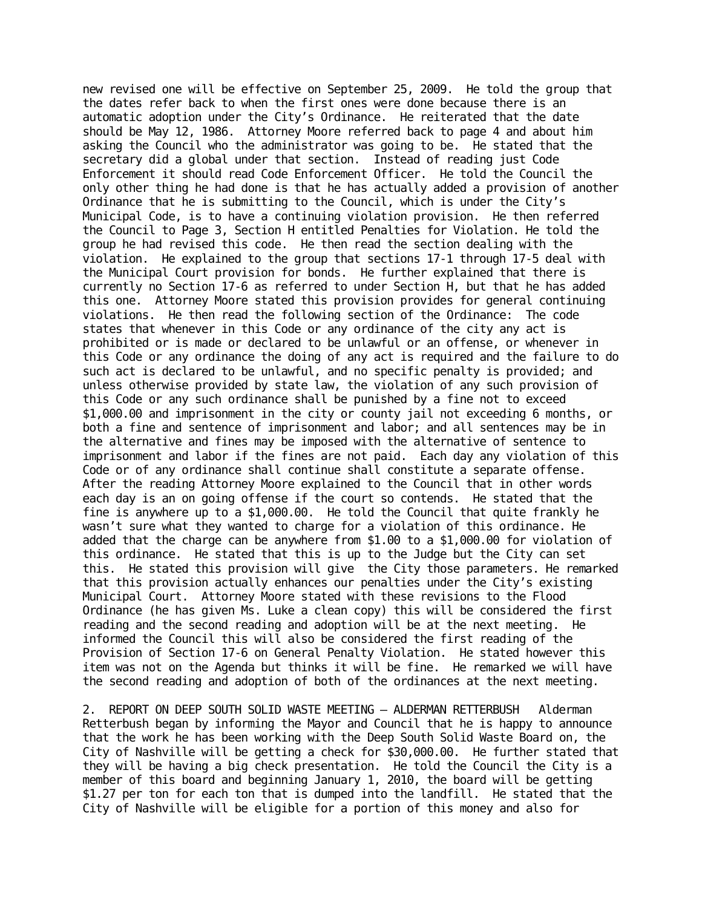new revised one will be effective on September 25, 2009. He told the group that the dates refer back to when the first ones were done because there is an automatic adoption under the City's Ordinance. He reiterated that the date should be May 12, 1986. Attorney Moore referred back to page 4 and about him asking the Council who the administrator was going to be. He stated that the secretary did a global under that section. Instead of reading just Code Enforcement it should read Code Enforcement Officer. He told the Council the only other thing he had done is that he has actually added a provision of another Ordinance that he is submitting to the Council, which is under the City's Municipal Code, is to have a continuing violation provision. He then referred the Council to Page 3, Section H entitled Penalties for Violation. He told the group he had revised this code. He then read the section dealing with the violation. He explained to the group that sections 17-1 through 17-5 deal with the Municipal Court provision for bonds. He further explained that there is currently no Section 17-6 as referred to under Section H, but that he has added this one. Attorney Moore stated this provision provides for general continuing violations. He then read the following section of the Ordinance: The code states that whenever in this Code or any ordinance of the city any act is prohibited or is made or declared to be unlawful or an offense, or whenever in this Code or any ordinance the doing of any act is required and the failure to do such act is declared to be unlawful, and no specific penalty is provided; and unless otherwise provided by state law, the violation of any such provision of this Code or any such ordinance shall be punished by a fine not to exceed \$1,000.00 and imprisonment in the city or county jail not exceeding 6 months, or both a fine and sentence of imprisonment and labor; and all sentences may be in the alternative and fines may be imposed with the alternative of sentence to imprisonment and labor if the fines are not paid. Each day any violation of this Code or of any ordinance shall continue shall constitute a separate offense. After the reading Attorney Moore explained to the Council that in other words each day is an on going offense if the court so contends. He stated that the fine is anywhere up to a \$1,000.00. He told the Council that quite frankly he wasn't sure what they wanted to charge for a violation of this ordinance. He added that the charge can be anywhere from \$1.00 to a \$1,000.00 for violation of this ordinance. He stated that this is up to the Judge but the City can set this. He stated this provision will give the City those parameters. He remarked that this provision actually enhances our penalties under the City's existing Municipal Court. Attorney Moore stated with these revisions to the Flood Ordinance (he has given Ms. Luke a clean copy) this will be considered the first reading and the second reading and adoption will be at the next meeting. He informed the Council this will also be considered the first reading of the Provision of Section 17-6 on General Penalty Violation. He stated however this item was not on the Agenda but thinks it will be fine. He remarked we will have the second reading and adoption of both of the ordinances at the next meeting.

2. REPORT ON DEEP SOUTH SOLID WASTE MEETING – ALDERMAN RETTERBUSH Alderman Retterbush began by informing the Mayor and Council that he is happy to announce that the work he has been working with the Deep South Solid Waste Board on, the City of Nashville will be getting a check for \$30,000.00. He further stated that they will be having a big check presentation. He told the Council the City is a member of this board and beginning January 1, 2010, the board will be getting \$1.27 per ton for each ton that is dumped into the landfill. He stated that the City of Nashville will be eligible for a portion of this money and also for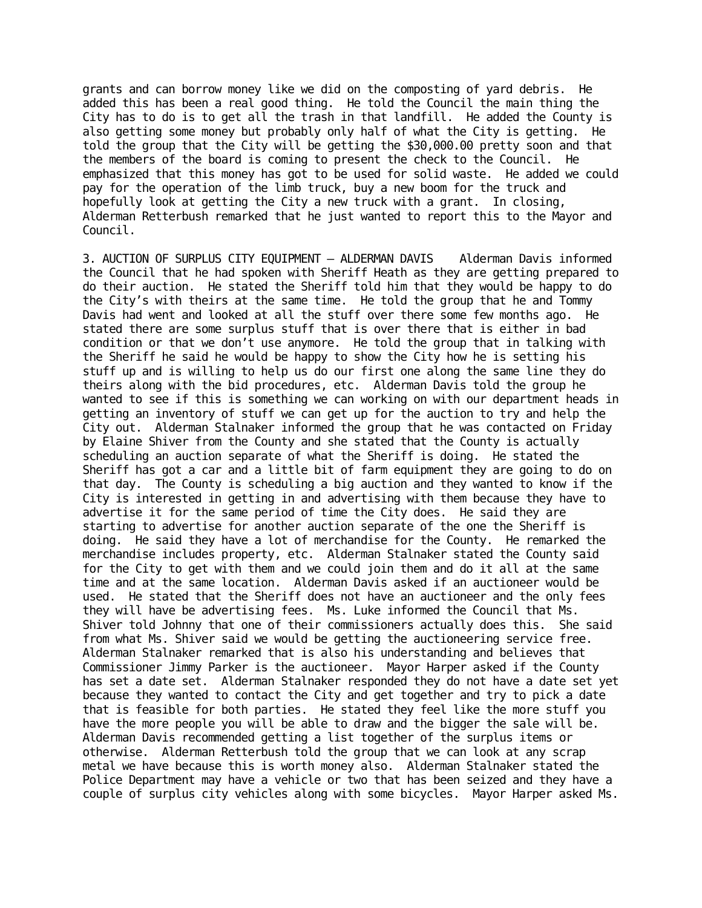grants and can borrow money like we did on the composting of yard debris. He added this has been a real good thing. He told the Council the main thing the City has to do is to get all the trash in that landfill. He added the County is also getting some money but probably only half of what the City is getting. He told the group that the City will be getting the \$30,000.00 pretty soon and that the members of the board is coming to present the check to the Council. He emphasized that this money has got to be used for solid waste. He added we could pay for the operation of the limb truck, buy a new boom for the truck and hopefully look at getting the City a new truck with a grant. In closing, Alderman Retterbush remarked that he just wanted to report this to the Mayor and Council.

3. AUCTION OF SURPLUS CITY EQUIPMENT – ALDERMAN DAVIS Alderman Davis informed the Council that he had spoken with Sheriff Heath as they are getting prepared to do their auction. He stated the Sheriff told him that they would be happy to do the City's with theirs at the same time. He told the group that he and Tommy Davis had went and looked at all the stuff over there some few months ago. He stated there are some surplus stuff that is over there that is either in bad condition or that we don't use anymore. He told the group that in talking with the Sheriff he said he would be happy to show the City how he is setting his stuff up and is willing to help us do our first one along the same line they do theirs along with the bid procedures, etc. Alderman Davis told the group he wanted to see if this is something we can working on with our department heads in getting an inventory of stuff we can get up for the auction to try and help the City out. Alderman Stalnaker informed the group that he was contacted on Friday by Elaine Shiver from the County and she stated that the County is actually scheduling an auction separate of what the Sheriff is doing. He stated the Sheriff has got a car and a little bit of farm equipment they are going to do on that day. The County is scheduling a big auction and they wanted to know if the City is interested in getting in and advertising with them because they have to advertise it for the same period of time the City does. He said they are starting to advertise for another auction separate of the one the Sheriff is doing. He said they have a lot of merchandise for the County. He remarked the merchandise includes property, etc. Alderman Stalnaker stated the County said for the City to get with them and we could join them and do it all at the same time and at the same location. Alderman Davis asked if an auctioneer would be used. He stated that the Sheriff does not have an auctioneer and the only fees they will have be advertising fees. Ms. Luke informed the Council that Ms. Shiver told Johnny that one of their commissioners actually does this. She said from what Ms. Shiver said we would be getting the auctioneering service free. Alderman Stalnaker remarked that is also his understanding and believes that Commissioner Jimmy Parker is the auctioneer. Mayor Harper asked if the County has set a date set. Alderman Stalnaker responded they do not have a date set yet because they wanted to contact the City and get together and try to pick a date that is feasible for both parties. He stated they feel like the more stuff you have the more people you will be able to draw and the bigger the sale will be. Alderman Davis recommended getting a list together of the surplus items or otherwise. Alderman Retterbush told the group that we can look at any scrap metal we have because this is worth money also. Alderman Stalnaker stated the Police Department may have a vehicle or two that has been seized and they have a couple of surplus city vehicles along with some bicycles. Mayor Harper asked Ms.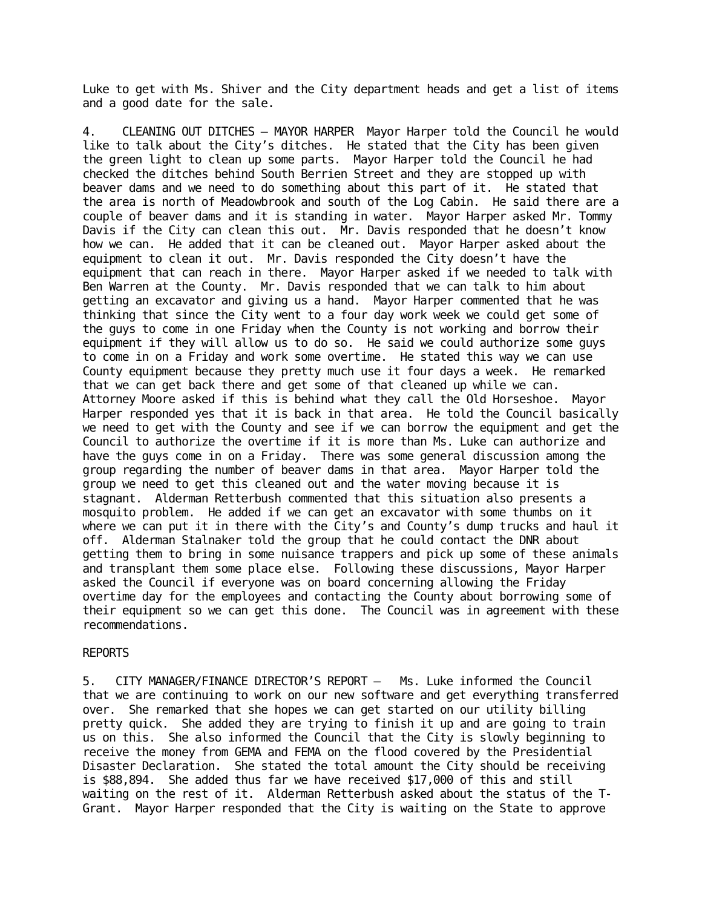Luke to get with Ms. Shiver and the City department heads and get a list of items and a good date for the sale.

4. CLEANING OUT DITCHES – MAYOR HARPER Mayor Harper told the Council he would like to talk about the City's ditches. He stated that the City has been given the green light to clean up some parts. Mayor Harper told the Council he had checked the ditches behind South Berrien Street and they are stopped up with beaver dams and we need to do something about this part of it. He stated that the area is north of Meadowbrook and south of the Log Cabin. He said there are a couple of beaver dams and it is standing in water. Mayor Harper asked Mr. Tommy Davis if the City can clean this out. Mr. Davis responded that he doesn't know how we can. He added that it can be cleaned out. Mayor Harper asked about the equipment to clean it out. Mr. Davis responded the City doesn't have the equipment that can reach in there. Mayor Harper asked if we needed to talk with Ben Warren at the County. Mr. Davis responded that we can talk to him about getting an excavator and giving us a hand. Mayor Harper commented that he was thinking that since the City went to a four day work week we could get some of the guys to come in one Friday when the County is not working and borrow their equipment if they will allow us to do so. He said we could authorize some guys to come in on a Friday and work some overtime. He stated this way we can use County equipment because they pretty much use it four days a week. He remarked that we can get back there and get some of that cleaned up while we can. Attorney Moore asked if this is behind what they call the Old Horseshoe. Mayor Harper responded yes that it is back in that area. He told the Council basically we need to get with the County and see if we can borrow the equipment and get the Council to authorize the overtime if it is more than Ms. Luke can authorize and have the guys come in on a Friday. There was some general discussion among the group regarding the number of beaver dams in that area. Mayor Harper told the group we need to get this cleaned out and the water moving because it is stagnant. Alderman Retterbush commented that this situation also presents a mosquito problem. He added if we can get an excavator with some thumbs on it where we can put it in there with the City's and County's dump trucks and haul it off. Alderman Stalnaker told the group that he could contact the DNR about getting them to bring in some nuisance trappers and pick up some of these animals and transplant them some place else. Following these discussions, Mayor Harper asked the Council if everyone was on board concerning allowing the Friday overtime day for the employees and contacting the County about borrowing some of their equipment so we can get this done. The Council was in agreement with these recommendations.

## REPORTS

5. CITY MANAGER/FINANCE DIRECTOR'S REPORT – Ms. Luke informed the Council that we are continuing to work on our new software and get everything transferred over. She remarked that she hopes we can get started on our utility billing pretty quick. She added they are trying to finish it up and are going to train us on this. She also informed the Council that the City is slowly beginning to receive the money from GEMA and FEMA on the flood covered by the Presidential Disaster Declaration. She stated the total amount the City should be receiving is \$88,894. She added thus far we have received \$17,000 of this and still waiting on the rest of it. Alderman Retterbush asked about the status of the T-Grant. Mayor Harper responded that the City is waiting on the State to approve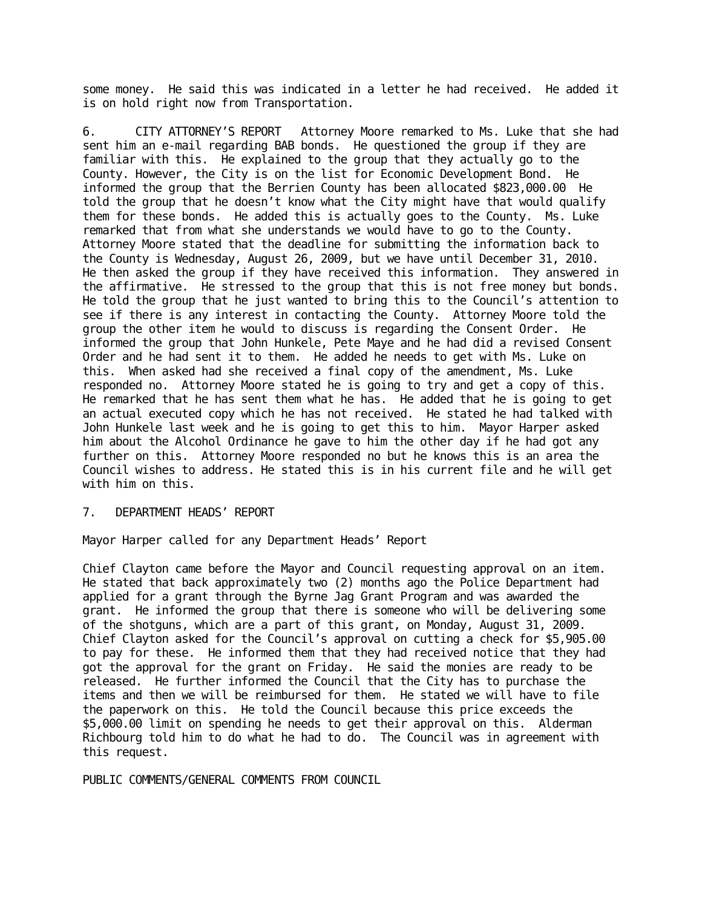some money. He said this was indicated in a letter he had received. He added it is on hold right now from Transportation.

6. CITY ATTORNEY'S REPORT Attorney Moore remarked to Ms. Luke that she had sent him an e-mail regarding BAB bonds. He questioned the group if they are familiar with this. He explained to the group that they actually go to the County. However, the City is on the list for Economic Development Bond. He informed the group that the Berrien County has been allocated \$823,000.00 He told the group that he doesn't know what the City might have that would qualify them for these bonds. He added this is actually goes to the County. Ms. Luke remarked that from what she understands we would have to go to the County. Attorney Moore stated that the deadline for submitting the information back to the County is Wednesday, August 26, 2009, but we have until December 31, 2010. He then asked the group if they have received this information. They answered in the affirmative. He stressed to the group that this is not free money but bonds. He told the group that he just wanted to bring this to the Council's attention to see if there is any interest in contacting the County. Attorney Moore told the group the other item he would to discuss is regarding the Consent Order. He informed the group that John Hunkele, Pete Maye and he had did a revised Consent Order and he had sent it to them. He added he needs to get with Ms. Luke on this. When asked had she received a final copy of the amendment, Ms. Luke responded no. Attorney Moore stated he is going to try and get a copy of this. He remarked that he has sent them what he has. He added that he is going to get an actual executed copy which he has not received. He stated he had talked with John Hunkele last week and he is going to get this to him. Mayor Harper asked him about the Alcohol Ordinance he gave to him the other day if he had got any further on this. Attorney Moore responded no but he knows this is an area the Council wishes to address. He stated this is in his current file and he will get with him on this.

## 7. DEPARTMENT HEADS' REPORT

Mayor Harper called for any Department Heads' Report

Chief Clayton came before the Mayor and Council requesting approval on an item. He stated that back approximately two (2) months ago the Police Department had applied for a grant through the Byrne Jag Grant Program and was awarded the grant. He informed the group that there is someone who will be delivering some of the shotguns, which are a part of this grant, on Monday, August 31, 2009. Chief Clayton asked for the Council's approval on cutting a check for \$5,905.00 to pay for these. He informed them that they had received notice that they had got the approval for the grant on Friday. He said the monies are ready to be released. He further informed the Council that the City has to purchase the items and then we will be reimbursed for them. He stated we will have to file the paperwork on this. He told the Council because this price exceeds the \$5,000.00 limit on spending he needs to get their approval on this. Alderman Richbourg told him to do what he had to do. The Council was in agreement with this request.

PUBLIC COMMENTS/GENERAL COMMENTS FROM COUNCIL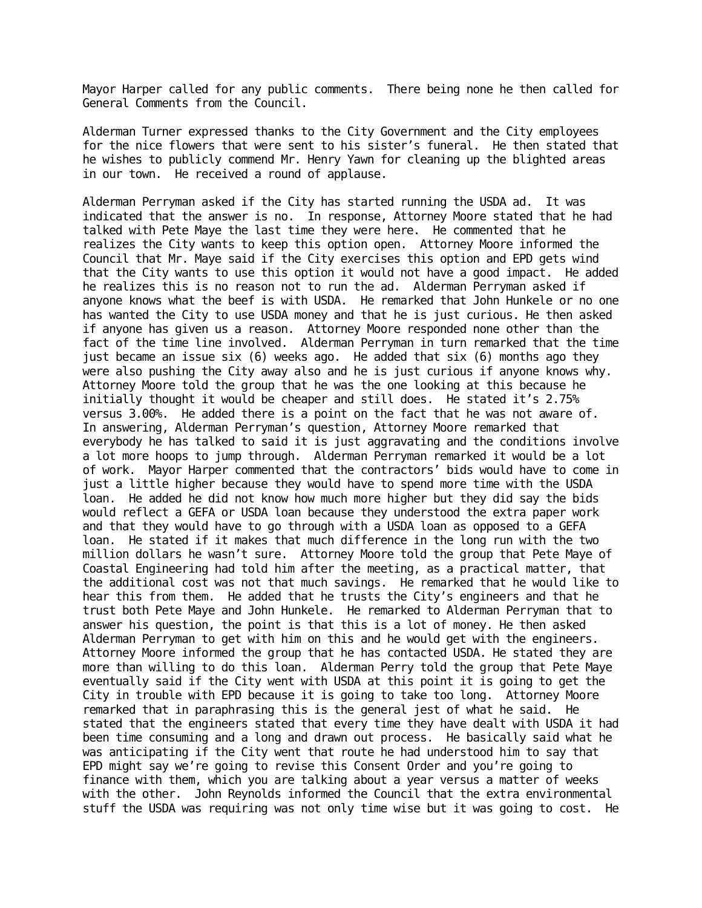Mayor Harper called for any public comments. There being none he then called for General Comments from the Council.

Alderman Turner expressed thanks to the City Government and the City employees for the nice flowers that were sent to his sister's funeral. He then stated that he wishes to publicly commend Mr. Henry Yawn for cleaning up the blighted areas in our town. He received a round of applause.

Alderman Perryman asked if the City has started running the USDA ad. It was indicated that the answer is no. In response, Attorney Moore stated that he had talked with Pete Maye the last time they were here. He commented that he realizes the City wants to keep this option open. Attorney Moore informed the Council that Mr. Maye said if the City exercises this option and EPD gets wind that the City wants to use this option it would not have a good impact. He added he realizes this is no reason not to run the ad. Alderman Perryman asked if anyone knows what the beef is with USDA. He remarked that John Hunkele or no one has wanted the City to use USDA money and that he is just curious. He then asked if anyone has given us a reason. Attorney Moore responded none other than the fact of the time line involved. Alderman Perryman in turn remarked that the time just became an issue six (6) weeks ago. He added that six (6) months ago they were also pushing the City away also and he is just curious if anyone knows why. Attorney Moore told the group that he was the one looking at this because he initially thought it would be cheaper and still does. He stated it's 2.75% versus 3.00%. He added there is a point on the fact that he was not aware of. In answering, Alderman Perryman's question, Attorney Moore remarked that everybody he has talked to said it is just aggravating and the conditions involve a lot more hoops to jump through. Alderman Perryman remarked it would be a lot of work. Mayor Harper commented that the contractors' bids would have to come in just a little higher because they would have to spend more time with the USDA loan. He added he did not know how much more higher but they did say the bids would reflect a GEFA or USDA loan because they understood the extra paper work and that they would have to go through with a USDA loan as opposed to a GEFA loan. He stated if it makes that much difference in the long run with the two million dollars he wasn't sure. Attorney Moore told the group that Pete Maye of Coastal Engineering had told him after the meeting, as a practical matter, that the additional cost was not that much savings. He remarked that he would like to hear this from them. He added that he trusts the City's engineers and that he trust both Pete Maye and John Hunkele. He remarked to Alderman Perryman that to answer his question, the point is that this is a lot of money. He then asked Alderman Perryman to get with him on this and he would get with the engineers. Attorney Moore informed the group that he has contacted USDA. He stated they are more than willing to do this loan. Alderman Perry told the group that Pete Maye eventually said if the City went with USDA at this point it is going to get the City in trouble with EPD because it is going to take too long. Attorney Moore remarked that in paraphrasing this is the general jest of what he said. He stated that the engineers stated that every time they have dealt with USDA it had been time consuming and a long and drawn out process. He basically said what he was anticipating if the City went that route he had understood him to say that EPD might say we're going to revise this Consent Order and you're going to finance with them, which you are talking about a year versus a matter of weeks with the other. John Reynolds informed the Council that the extra environmental stuff the USDA was requiring was not only time wise but it was going to cost. He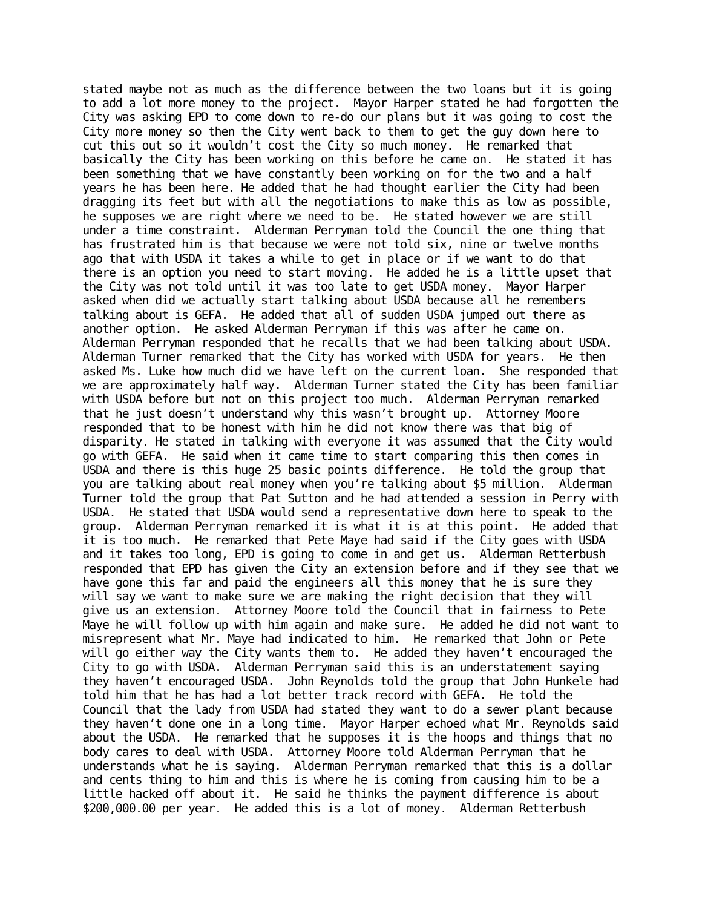stated maybe not as much as the difference between the two loans but it is going to add a lot more money to the project. Mayor Harper stated he had forgotten the City was asking EPD to come down to re-do our plans but it was going to cost the City more money so then the City went back to them to get the guy down here to cut this out so it wouldn't cost the City so much money. He remarked that basically the City has been working on this before he came on. He stated it has been something that we have constantly been working on for the two and a half years he has been here. He added that he had thought earlier the City had been dragging its feet but with all the negotiations to make this as low as possible, he supposes we are right where we need to be. He stated however we are still under a time constraint. Alderman Perryman told the Council the one thing that has frustrated him is that because we were not told six, nine or twelve months ago that with USDA it takes a while to get in place or if we want to do that there is an option you need to start moving. He added he is a little upset that the City was not told until it was too late to get USDA money. Mayor Harper asked when did we actually start talking about USDA because all he remembers talking about is GEFA. He added that all of sudden USDA jumped out there as another option. He asked Alderman Perryman if this was after he came on. Alderman Perryman responded that he recalls that we had been talking about USDA. Alderman Turner remarked that the City has worked with USDA for years. He then asked Ms. Luke how much did we have left on the current loan. She responded that we are approximately half way. Alderman Turner stated the City has been familiar with USDA before but not on this project too much. Alderman Perryman remarked that he just doesn't understand why this wasn't brought up. Attorney Moore responded that to be honest with him he did not know there was that big of disparity. He stated in talking with everyone it was assumed that the City would go with GEFA. He said when it came time to start comparing this then comes in USDA and there is this huge 25 basic points difference. He told the group that you are talking about real money when you're talking about \$5 million. Alderman Turner told the group that Pat Sutton and he had attended a session in Perry with USDA. He stated that USDA would send a representative down here to speak to the group. Alderman Perryman remarked it is what it is at this point. He added that it is too much. He remarked that Pete Maye had said if the City goes with USDA and it takes too long, EPD is going to come in and get us. Alderman Retterbush responded that EPD has given the City an extension before and if they see that we have gone this far and paid the engineers all this money that he is sure they will say we want to make sure we are making the right decision that they will give us an extension. Attorney Moore told the Council that in fairness to Pete Maye he will follow up with him again and make sure. He added he did not want to misrepresent what Mr. Maye had indicated to him. He remarked that John or Pete will go either way the City wants them to. He added they haven't encouraged the City to go with USDA. Alderman Perryman said this is an understatement saying they haven't encouraged USDA. John Reynolds told the group that John Hunkele had told him that he has had a lot better track record with GEFA. He told the Council that the lady from USDA had stated they want to do a sewer plant because they haven't done one in a long time. Mayor Harper echoed what Mr. Reynolds said about the USDA. He remarked that he supposes it is the hoops and things that no body cares to deal with USDA. Attorney Moore told Alderman Perryman that he understands what he is saying. Alderman Perryman remarked that this is a dollar and cents thing to him and this is where he is coming from causing him to be a little hacked off about it. He said he thinks the payment difference is about \$200,000.00 per year. He added this is a lot of money. Alderman Retterbush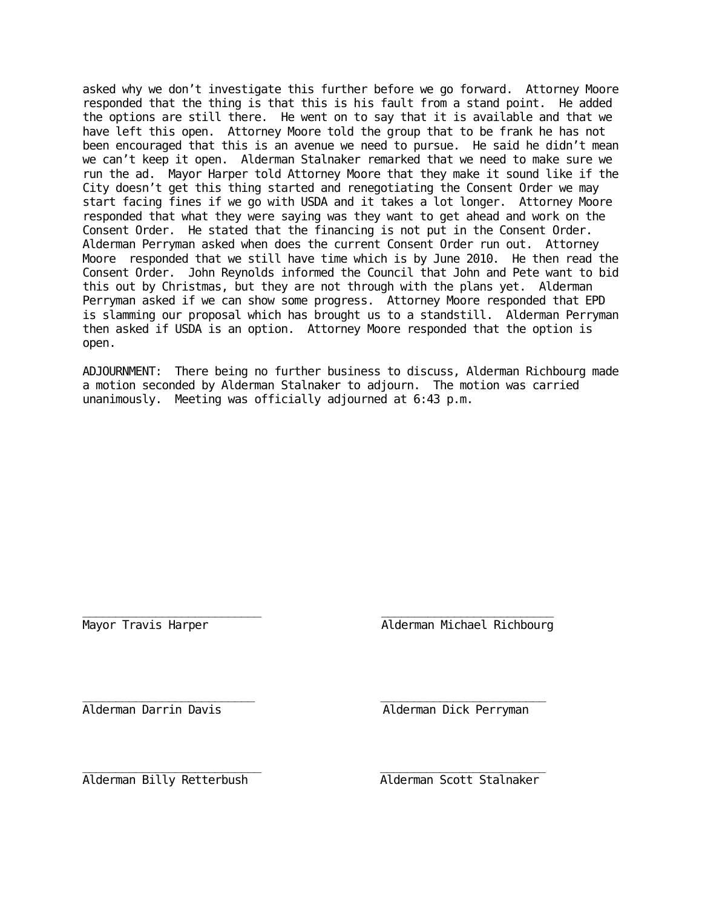asked why we don't investigate this further before we go forward. Attorney Moore responded that the thing is that this is his fault from a stand point. He added the options are still there. He went on to say that it is available and that we have left this open. Attorney Moore told the group that to be frank he has not been encouraged that this is an avenue we need to pursue. He said he didn't mean we can't keep it open. Alderman Stalnaker remarked that we need to make sure we run the ad. Mayor Harper told Attorney Moore that they make it sound like if the City doesn't get this thing started and renegotiating the Consent Order we may start facing fines if we go with USDA and it takes a lot longer. Attorney Moore responded that what they were saying was they want to get ahead and work on the Consent Order. He stated that the financing is not put in the Consent Order. Alderman Perryman asked when does the current Consent Order run out. Attorney Moore responded that we still have time which is by June 2010. He then read the Consent Order. John Reynolds informed the Council that John and Pete want to bid this out by Christmas, but they are not through with the plans yet. Alderman Perryman asked if we can show some progress. Attorney Moore responded that EPD is slamming our proposal which has brought us to a standstill. Alderman Perryman then asked if USDA is an option. Attorney Moore responded that the option is open.

ADJOURNMENT: There being no further business to discuss, Alderman Richbourg made a motion seconded by Alderman Stalnaker to adjourn. The motion was carried unanimously. Meeting was officially adjourned at 6:43 p.m.

\_\_\_\_\_\_\_\_\_\_\_\_\_\_\_\_\_\_\_\_\_\_\_\_\_\_\_ \_\_\_\_\_\_\_\_\_\_\_\_\_\_\_\_\_\_\_\_\_\_\_\_\_\_ Mayor Travis Harper **Alderman Michael Richbourg** 

\_\_\_\_\_\_\_\_\_\_\_\_\_\_\_\_\_\_\_\_\_\_\_\_\_\_ \_\_\_\_\_\_\_\_\_\_\_\_\_\_\_\_\_\_\_\_\_\_\_\_\_ Alderman Darrin Davis Alderman Dick Perryman

\_\_\_\_\_\_\_\_\_\_\_\_\_\_\_\_\_\_\_\_\_\_\_\_\_\_\_ \_\_\_\_\_\_\_\_\_\_\_\_\_\_\_\_\_\_\_\_\_\_\_\_\_ Alderman Billy Retterbush Alderman Scott Stalnaker